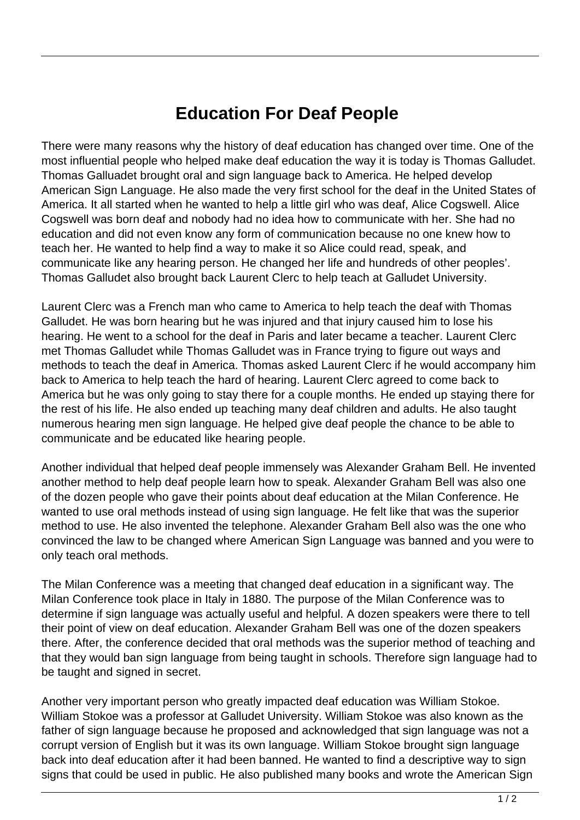## **Education For Deaf People**

There were many reasons why the history of deaf education has changed over time. One of the most influential people who helped make deaf education the way it is today is Thomas Galludet. Thomas Galluadet brought oral and sign language back to America. He helped develop American Sign Language. He also made the very first school for the deaf in the United States of America. It all started when he wanted to help a little girl who was deaf, Alice Cogswell. Alice Cogswell was born deaf and nobody had no idea how to communicate with her. She had no education and did not even know any form of communication because no one knew how to teach her. He wanted to help find a way to make it so Alice could read, speak, and communicate like any hearing person. He changed her life and hundreds of other peoples'. Thomas Galludet also brought back Laurent Clerc to help teach at Galludet University.

Laurent Clerc was a French man who came to America to help teach the deaf with Thomas Galludet. He was born hearing but he was injured and that injury caused him to lose his hearing. He went to a school for the deaf in Paris and later became a teacher. Laurent Clerc met Thomas Galludet while Thomas Galludet was in France trying to figure out ways and methods to teach the deaf in America. Thomas asked Laurent Clerc if he would accompany him back to America to help teach the hard of hearing. Laurent Clerc agreed to come back to America but he was only going to stay there for a couple months. He ended up staying there for the rest of his life. He also ended up teaching many deaf children and adults. He also taught numerous hearing men sign language. He helped give deaf people the chance to be able to communicate and be educated like hearing people.

Another individual that helped deaf people immensely was Alexander Graham Bell. He invented another method to help deaf people learn how to speak. Alexander Graham Bell was also one of the dozen people who gave their points about deaf education at the Milan Conference. He wanted to use oral methods instead of using sign language. He felt like that was the superior method to use. He also invented the telephone. Alexander Graham Bell also was the one who convinced the law to be changed where American Sign Language was banned and you were to only teach oral methods.

The Milan Conference was a meeting that changed deaf education in a significant way. The Milan Conference took place in Italy in 1880. The purpose of the Milan Conference was to determine if sign language was actually useful and helpful. A dozen speakers were there to tell their point of view on deaf education. Alexander Graham Bell was one of the dozen speakers there. After, the conference decided that oral methods was the superior method of teaching and that they would ban sign language from being taught in schools. Therefore sign language had to be taught and signed in secret.

Another very important person who greatly impacted deaf education was William Stokoe. William Stokoe was a professor at Galludet University. William Stokoe was also known as the father of sign language because he proposed and acknowledged that sign language was not a corrupt version of English but it was its own language. William Stokoe brought sign language back into deaf education after it had been banned. He wanted to find a descriptive way to sign signs that could be used in public. He also published many books and wrote the American Sign